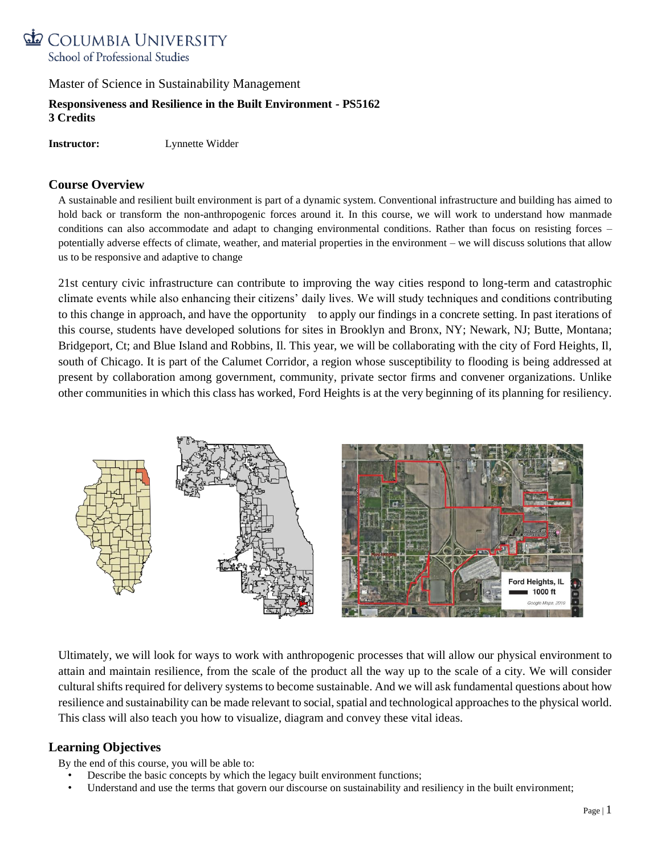

# **Responsiveness and Resilience in the Built Environment - PS5162 3 Credits**

**Instructor:** Lynnette Widder

# **Course Overview**

A sustainable and resilient built environment is part of a dynamic system. Conventional infrastructure and building has aimed to hold back or transform the non-anthropogenic forces around it. In this course, we will work to understand how manmade conditions can also accommodate and adapt to changing environmental conditions. Rather than focus on resisting forces – potentially adverse effects of climate, weather, and material properties in the environment – we will discuss solutions that allow us to be responsive and adaptive to change

21st century civic infrastructure can contribute to improving the way cities respond to long-term and catastrophic climate events while also enhancing their citizens' daily lives. We will study techniques and conditions contributing to this change in approach, and have the opportunity to apply our findings in a concrete setting. In past iterations of this course, students have developed solutions for sites in Brooklyn and Bronx, NY; Newark, NJ; Butte, Montana; Bridgeport, Ct; and Blue Island and Robbins, Il. This year, we will be collaborating with the city of Ford Heights, Il, south of Chicago. It is part of the Calumet Corridor, a region whose susceptibility to flooding is being addressed at present by collaboration among government, community, private sector firms and convener organizations. Unlike other communities in which this class has worked, Ford Heights is at the very beginning of its planning for resiliency.



Ultimately, we will look for ways to work with anthropogenic processes that will allow our physical environment to attain and maintain resilience, from the scale of the product all the way up to the scale of a city. We will consider cultural shifts required for delivery systems to become sustainable. And we will ask fundamental questions about how resilience and sustainability can be made relevant to social, spatial and technological approaches to the physical world. This class will also teach you how to visualize, diagram and convey these vital ideas.

# **Learning Objectives**

By the end of this course, you will be able to:

- Describe the basic concepts by which the legacy built environment functions;
- Understand and use the terms that govern our discourse on sustainability and resiliency in the built environment;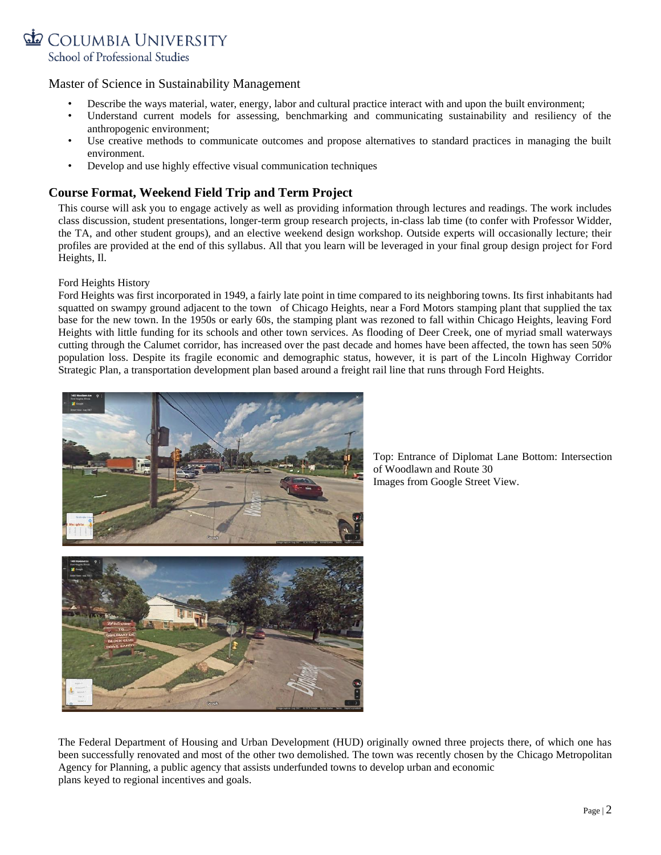

- Describe the ways material, water, energy, labor and cultural practice interact with and upon the built environment;
- Understand current models for assessing, benchmarking and communicating sustainability and resiliency of the anthropogenic environment;
- Use creative methods to communicate outcomes and propose alternatives to standard practices in managing the built environment.
- Develop and use highly effective visual communication techniques

# **Course Format, Weekend Field Trip and Term Project**

This course will ask you to engage actively as well as providing information through lectures and readings. The work includes class discussion, student presentations, longer-term group research projects, in-class lab time (to confer with Professor Widder, the TA, and other student groups), and an elective weekend design workshop. Outside experts will occasionally lecture; their profiles are provided at the end of this syllabus. All that you learn will be leveraged in your final group design project for Ford Heights, Il.

## Ford Heights History

Ford Heights was first incorporated in 1949, a fairly late point in time compared to its neighboring towns. Its first inhabitants had squatted on swampy ground adjacent to the town of Chicago Heights, near a Ford Motors stamping plant that supplied the tax base for the new town. In the 1950s or early 60s, the stamping plant was rezoned to fall within Chicago Heights, leaving Ford Heights with little funding for its schools and other town services. As flooding of Deer Creek, one of myriad small waterways cutting through the Calumet corridor, has increased over the past decade and homes have been affected, the town has seen 50% population loss. Despite its fragile economic and demographic status, however, it is part of the Lincoln Highway Corridor Strategic Plan, a transportation development plan based around a freight rail line that runs through Ford Heights.



Top: Entrance of Diplomat Lane Bottom: Intersection of Woodlawn and Route 30 Images from Google Street View.

The Federal Department of Housing and Urban Development (HUD) originally owned three projects there, of which one has been successfully renovated and most of the other two demolished. The town was recently chosen by the Chicago Metropolitan Agency for Planning, a public agency that assists underfunded towns to develop urban and economic plans keyed to regional incentives and goals.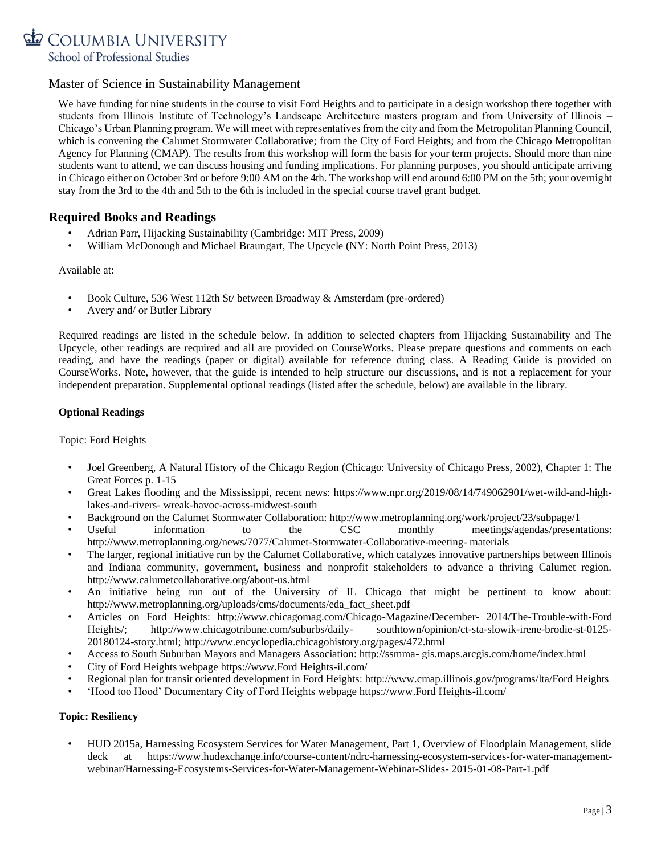

We have funding for nine students in the course to visit Ford Heights and to participate in a design workshop there together with students from Illinois Institute of Technology's Landscape Architecture masters program and from University of Illinois – Chicago's Urban Planning program. We will meet with representatives from the city and from the Metropolitan Planning Council, which is convening the Calumet Stormwater Collaborative; from the City of Ford Heights; and from the Chicago Metropolitan Agency for Planning (CMAP). The results from this workshop will form the basis for your term projects. Should more than nine students want to attend, we can discuss housing and funding implications. For planning purposes, you should anticipate arriving in Chicago either on October 3rd or before 9:00 AM on the 4th. The workshop will end around 6:00 PM on the 5th; your overnight stay from the 3rd to the 4th and 5th to the 6th is included in the special course travel grant budget.

# **Required Books and Readings**

- Adrian Parr, Hijacking Sustainability (Cambridge: MIT Press, 2009)
- William McDonough and Michael Braungart, The Upcycle (NY: North Point Press, 2013)

Available at:

- Book Culture, 536 West 112th St/ between Broadway & Amsterdam (pre-ordered)
- Avery and/ or Butler Library

Required readings are listed in the schedule below. In addition to selected chapters from Hijacking Sustainability and The Upcycle, other readings are required and all are provided on CourseWorks. Please prepare questions and comments on each reading, and have the readings (paper or digital) available for reference during class. A Reading Guide is provided on CourseWorks. Note, however, that the guide is intended to help structure our discussions, and is not a replacement for your independent preparation. Supplemental optional readings (listed after the schedule, below) are available in the library.

## **Optional Readings**

#### Topic: Ford Heights

- Joel Greenberg, A Natural History of the Chicago Region (Chicago: University of Chicago Press, 2002), Chapter 1: The Great Forces p. 1-15
- Great Lakes flooding and the Mississippi, recent news: https://www.npr.org/2019/08/14/749062901/wet-wild-and-highlakes-and-rivers- wreak-havoc-across-midwest-south
- Background on the Calumet Stormwater Collaboration: http://www.metroplanning.org/work/project/23/subpage/1
- Useful information to the CSC monthly meetings/agendas/presentations: http://www.metroplanning.org/news/7077/Calumet-Stormwater-Collaborative-meeting- materials
- The larger, regional initiative run by the Calumet Collaborative, which catalyzes innovative partnerships between Illinois and Indiana community, government, business and nonprofit stakeholders to advance a thriving Calumet region. http://www.calumetcollaborative.org/about-us.html
- An initiative being run out of the University of IL Chicago that might be pertinent to know about: http://www.metroplanning.org/uploads/cms/documents/eda\_fact\_sheet.pdf
- Articles on Ford Heights: http://www.chicagomag.com/Chicago-Magazine/December- 2014/The-Trouble-with-Ford Heights/; http://www.chicagotribune.com/suburbs/daily- southtown/opinion/ct-sta-slowik-irene-brodie-st-0125- 20180124-story.html; http://www.encyclopedia.chicagohistory.org/pages/472.html
- Access to South Suburban Mayors and Managers Association: http://ssmma- gis.maps.arcgis.com/home/index.html
- City of Ford Heights webpage https://www.Ford Heights-il.com/
- Regional plan for transit oriented development in Ford Heights: http://www.cmap.illinois.gov/programs/lta/Ford Heights
- 'Hood too Hood' Documentary City of Ford Heights webpage https://www.Ford Heights-il.com/

## **Topic: Resiliency**

• HUD 2015a, Harnessing Ecosystem Services for Water Management, Part 1, Overview of Floodplain Management, slide deck at https://www.hudexchange.info/course-content/ndrc-harnessing-ecosystem-services-for-water-managementwebinar/Harnessing-Ecosystems-Services-for-Water-Management-Webinar-Slides- 2015-01-08-Part-1.pdf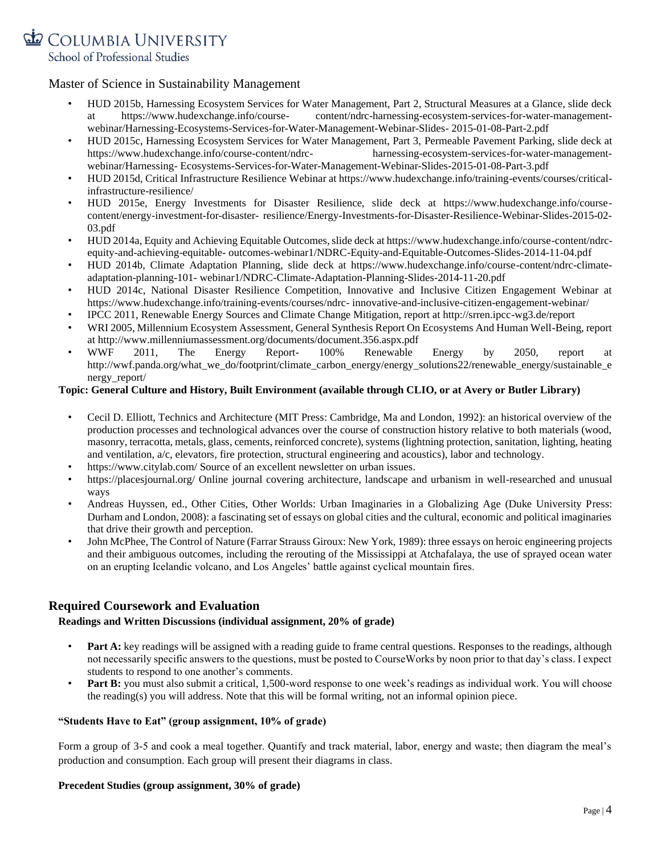

- HUD 2015b, Harnessing Ecosystem Services for Water Management, Part 2, Structural Measures at a Glance, slide deck at https://www.hudexchange.info/course- content/ndrc-harnessing-ecosystem-services-for-water-managementwebinar/Harnessing-Ecosystems-Services-for-Water-Management-Webinar-Slides- 2015-01-08-Part-2.pdf
- HUD 2015c, Harnessing Ecosystem Services for Water Management, Part 3, Permeable Pavement Parking, slide deck at https://www.hudexchange.info/course-content/ndrc- harnessing-ecosystem-services-for-water-managementwebinar/Harnessing- Ecosystems-Services-for-Water-Management-Webinar-Slides-2015-01-08-Part-3.pdf
- HUD 2015d, Critical Infrastructure Resilience Webinar at https://www.hudexchange.info/training-events/courses/criticalinfrastructure-resilience/
- HUD 2015e, Energy Investments for Disaster Resilience, slide deck at https://www.hudexchange.info/coursecontent/energy-investment-for-disaster- resilience/Energy-Investments-for-Disaster-Resilience-Webinar-Slides-2015-02- 03.pdf
- HUD 2014a, Equity and Achieving Equitable Outcomes, slide deck at https://www.hudexchange.info/course-content/ndrcequity-and-achieving-equitable- outcomes-webinar1/NDRC-Equity-and-Equitable-Outcomes-Slides-2014-11-04.pdf
- HUD 2014b, Climate Adaptation Planning, slide deck at https://www.hudexchange.info/course-content/ndrc-climateadaptation-planning-101- webinar1/NDRC-Climate-Adaptation-Planning-Slides-2014-11-20.pdf
- HUD 2014c, National Disaster Resilience Competition, Innovative and Inclusive Citizen Engagement Webinar at https://www.hudexchange.info/training-events/courses/ndrc- innovative-and-inclusive-citizen-engagement-webinar/
- IPCC 2011, Renewable Energy Sources and Climate Change Mitigation, report at http://srren.ipcc-wg3.de/report
- WRI 2005, Millennium Ecosystem Assessment, General Synthesis Report On Ecosystems And Human Well-Being, report at http://www.millenniumassessment.org/documents/document.356.aspx.pdf
- WWF 2011, The Energy Report- 100% Renewable Energy by 2050, report at http://wwf.panda.org/what\_we\_do/footprint/climate\_carbon\_energy/energy\_solutions22/renewable\_energy/sustainable\_e nergy\_report/

## **Topic: General Culture and History, Built Environment (available through CLIO, or at Avery or Butler Library)**

- Cecil D. Elliott, Technics and Architecture (MIT Press: Cambridge, Ma and London, 1992): an historical overview of the production processes and technological advances over the course of construction history relative to both materials (wood, masonry, terracotta, metals, glass, cements, reinforced concrete), systems (lightning protection, sanitation, lighting, heating and ventilation, a/c, elevators, fire protection, structural engineering and acoustics), labor and technology.
- https://www.citylab.com/ Source of an excellent newsletter on urban issues.
- https://placesjournal.org/ Online journal covering architecture, landscape and urbanism in well-researched and unusual ways
- Andreas Huyssen, ed., Other Cities, Other Worlds: Urban Imaginaries in a Globalizing Age (Duke University Press: Durham and London, 2008): a fascinating set of essays on global cities and the cultural, economic and political imaginaries that drive their growth and perception.
- John McPhee, The Control of Nature (Farrar Strauss Giroux: New York, 1989): three essays on heroic engineering projects and their ambiguous outcomes, including the rerouting of the Mississippi at Atchafalaya, the use of sprayed ocean water on an erupting Icelandic volcano, and Los Angeles' battle against cyclical mountain fires.

# **Required Coursework and Evaluation**

## **Readings and Written Discussions (individual assignment, 20% of grade)**

- **Part A:** key readings will be assigned with a reading guide to frame central questions. Responses to the readings, although not necessarily specific answers to the questions, must be posted to CourseWorks by noon prior to that day's class. I expect students to respond to one another's comments.
- **Part B:** you must also submit a critical, 1,500-word response to one week's readings as individual work. You will choose the reading(s) you will address. Note that this will be formal writing, not an informal opinion piece.

## **"Students Have to Eat" (group assignment, 10% of grade)**

Form a group of 3-5 and cook a meal together. Quantify and track material, labor, energy and waste; then diagram the meal's production and consumption. Each group will present their diagrams in class.

#### **Precedent Studies (group assignment, 30% of grade)**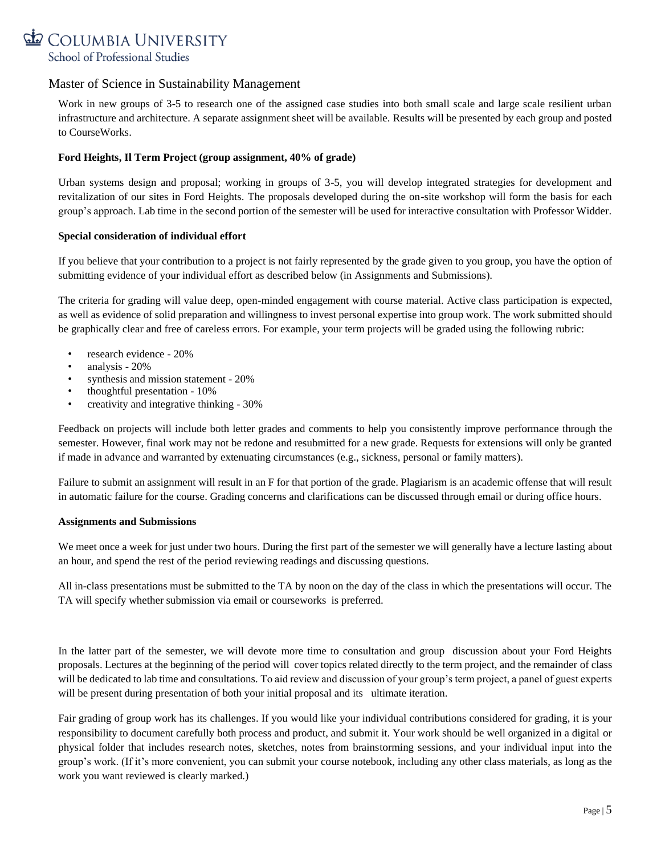

Work in new groups of 3-5 to research one of the assigned case studies into both small scale and large scale resilient urban infrastructure and architecture. A separate assignment sheet will be available. Results will be presented by each group and posted to CourseWorks.

# **Ford Heights, Il Term Project (group assignment, 40% of grade)**

Urban systems design and proposal; working in groups of 3-5, you will develop integrated strategies for development and revitalization of our sites in Ford Heights. The proposals developed during the on-site workshop will form the basis for each group's approach. Lab time in the second portion of the semester will be used for interactive consultation with Professor Widder.

## **Special consideration of individual effort**

If you believe that your contribution to a project is not fairly represented by the grade given to you group, you have the option of submitting evidence of your individual effort as described below (in Assignments and Submissions).

The criteria for grading will value deep, open-minded engagement with course material. Active class participation is expected, as well as evidence of solid preparation and willingness to invest personal expertise into group work. The work submitted should be graphically clear and free of careless errors. For example, your term projects will be graded using the following rubric:

- research evidence 20%
- analysis 20%
- synthesis and mission statement 20%
- thoughtful presentation 10%
- creativity and integrative thinking 30%

Feedback on projects will include both letter grades and comments to help you consistently improve performance through the semester. However, final work may not be redone and resubmitted for a new grade. Requests for extensions will only be granted if made in advance and warranted by extenuating circumstances (e.g., sickness, personal or family matters).

Failure to submit an assignment will result in an F for that portion of the grade. Plagiarism is an academic offense that will result in automatic failure for the course. Grading concerns and clarifications can be discussed through email or during office hours.

#### **Assignments and Submissions**

We meet once a week for just under two hours. During the first part of the semester we will generally have a lecture lasting about an hour, and spend the rest of the period reviewing readings and discussing questions.

All in-class presentations must be submitted to the TA by noon on the day of the class in which the presentations will occur. The TA will specify whether submission via email or courseworks is preferred.

In the latter part of the semester, we will devote more time to consultation and group discussion about your Ford Heights proposals. Lectures at the beginning of the period will cover topics related directly to the term project, and the remainder of class will be dedicated to lab time and consultations. To aid review and discussion of your group's term project, a panel of guest experts will be present during presentation of both your initial proposal and its ultimate iteration.

Fair grading of group work has its challenges. If you would like your individual contributions considered for grading, it is your responsibility to document carefully both process and product, and submit it. Your work should be well organized in a digital or physical folder that includes research notes, sketches, notes from brainstorming sessions, and your individual input into the group's work. (If it's more convenient, you can submit your course notebook, including any other class materials, as long as the work you want reviewed is clearly marked.)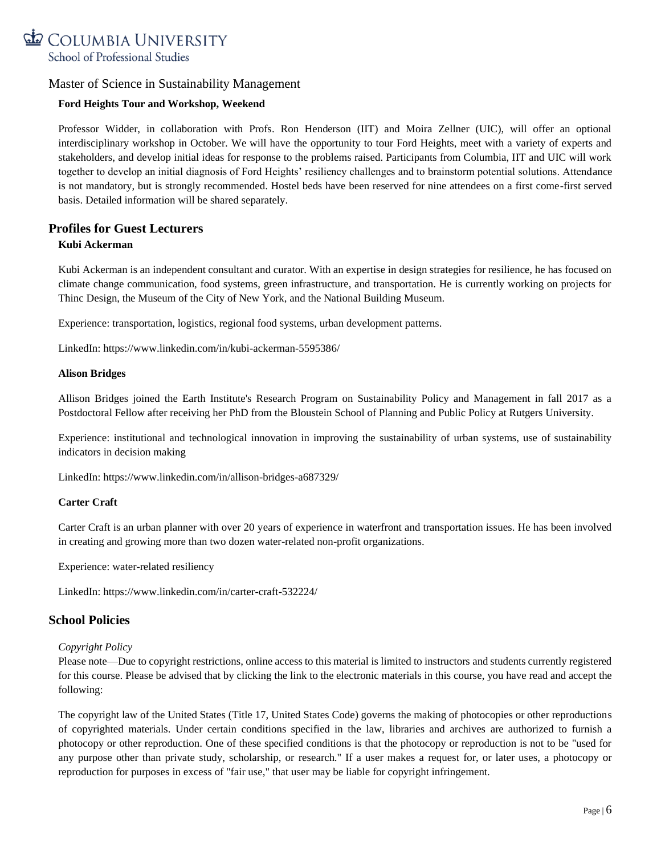

# **Ford Heights Tour and Workshop, Weekend**

Professor Widder, in collaboration with Profs. Ron Henderson (IIT) and Moira Zellner (UIC), will offer an optional interdisciplinary workshop in October. We will have the opportunity to tour Ford Heights, meet with a variety of experts and stakeholders, and develop initial ideas for response to the problems raised. Participants from Columbia, IIT and UIC will work together to develop an initial diagnosis of Ford Heights' resiliency challenges and to brainstorm potential solutions. Attendance is not mandatory, but is strongly recommended. Hostel beds have been reserved for nine attendees on a first come-first served basis. Detailed information will be shared separately.

# **Profiles for Guest Lecturers Kubi Ackerman**

Kubi Ackerman is an independent consultant and curator. With an expertise in design strategies for resilience, he has focused on climate change communication, food systems, green infrastructure, and transportation. He is currently working on projects for Thinc Design, the Museum of the City of New York, and the National Building Museum.

Experience: transportation, logistics, regional food systems, urban development patterns.

LinkedIn: https://www.linkedin.com/in/kubi-ackerman-5595386/

## **Alison Bridges**

Allison Bridges joined the Earth Institute's Research Program on Sustainability Policy and Management in fall 2017 as a Postdoctoral Fellow after receiving her PhD from the Bloustein School of Planning and Public Policy at Rutgers University.

Experience: institutional and technological innovation in improving the sustainability of urban systems, use of sustainability indicators in decision making

LinkedIn: https://www.linkedin.com/in/allison-bridges-a687329/

## **Carter Craft**

Carter Craft is an urban planner with over 20 years of experience in waterfront and transportation issues. He has been involved in creating and growing more than two dozen water-related non-profit organizations.

Experience: water-related resiliency

LinkedIn: https://www.linkedin.com/in/carter-craft-532224/

# **School Policies**

#### *Copyright Policy*

Please note—Due to copyright restrictions, online access to this material is limited to instructors and students currently registered for this course. Please be advised that by clicking the link to the electronic materials in this course, you have read and accept the following:

The copyright law of the United States (Title 17, United States Code) governs the making of photocopies or other reproductions of copyrighted materials. Under certain conditions specified in the law, libraries and archives are authorized to furnish a photocopy or other reproduction. One of these specified conditions is that the photocopy or reproduction is not to be "used for any purpose other than private study, scholarship, or research." If a user makes a request for, or later uses, a photocopy or reproduction for purposes in excess of "fair use," that user may be liable for copyright infringement.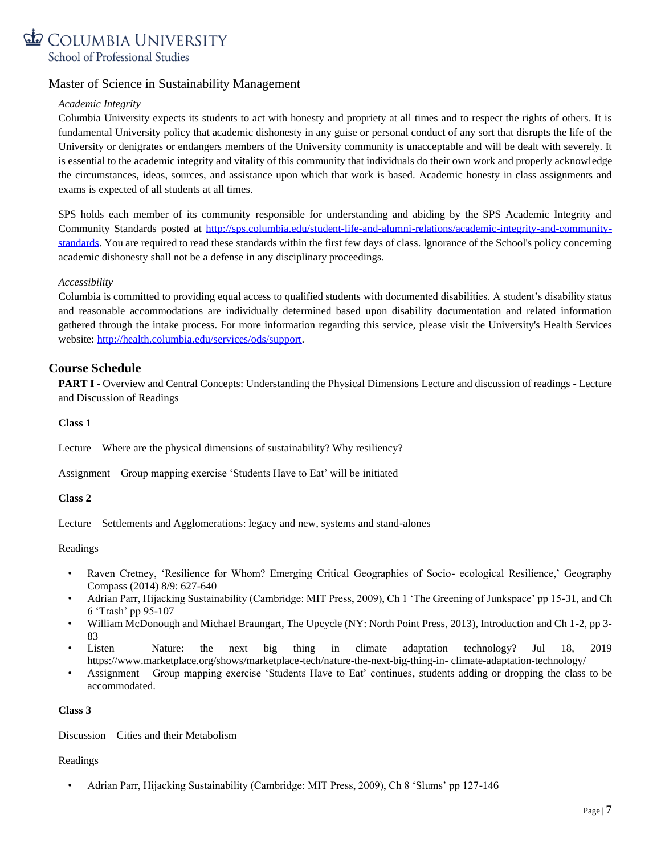

# *Academic Integrity*

Columbia University expects its students to act with honesty and propriety at all times and to respect the rights of others. It is fundamental University policy that academic dishonesty in any guise or personal conduct of any sort that disrupts the life of the University or denigrates or endangers members of the University community is unacceptable and will be dealt with severely. It is essential to the academic integrity and vitality of this community that individuals do their own work and properly acknowledge the circumstances, ideas, sources, and assistance upon which that work is based. Academic honesty in class assignments and exams is expected of all students at all times.

SPS holds each member of its community responsible for understanding and abiding by the SPS Academic Integrity and Community Standards posted at [http://sps.columbia.edu/student-life-and-alumni-relations/academic-integrity-and-community](http://sps.columbia.edu/student-life-and-alumni-relations/academic-integrity-and-community-standards)[standards.](http://sps.columbia.edu/student-life-and-alumni-relations/academic-integrity-and-community-standards) You are required to read these standards within the first few days of class. Ignorance of the School's policy concerning academic dishonesty shall not be a defense in any disciplinary proceedings.

## *Accessibility*

Columbia is committed to providing equal access to qualified students with documented disabilities. A student's disability status and reasonable accommodations are individually determined based upon disability documentation and related information gathered through the intake process. For more information regarding this service, please visit the University's Health Services website: [http://health.columbia.edu/services/ods/support.](http://health.columbia.edu/services/ods/support)

# **Course Schedule**

**PART I** - Overview and Central Concepts: Understanding the Physical Dimensions Lecture and discussion of readings - Lecture and Discussion of Readings

**Class 1**

Lecture – Where are the physical dimensions of sustainability? Why resiliency?

Assignment – Group mapping exercise 'Students Have to Eat' will be initiated

#### **Class 2**

Lecture – Settlements and Agglomerations: legacy and new, systems and stand-alones

#### Readings

- Raven Cretney, 'Resilience for Whom? Emerging Critical Geographies of Socio- ecological Resilience,' Geography Compass (2014) 8/9: 627-640
- Adrian Parr, Hijacking Sustainability (Cambridge: MIT Press, 2009), Ch 1 'The Greening of Junkspace' pp 15-31, and Ch 6 'Trash' pp 95-107
- William McDonough and Michael Braungart, The Upcycle (NY: North Point Press, 2013), Introduction and Ch 1-2, pp 3- 83
- Listen Nature: the next big thing in climate adaptation technology? Jul 18, 2019 https://www.marketplace.org/shows/marketplace-tech/nature-the-next-big-thing-in- climate-adaptation-technology/
- Assignment Group mapping exercise 'Students Have to Eat' continues, students adding or dropping the class to be accommodated.

#### **Class 3**

Discussion – Cities and their Metabolism

#### Readings

• Adrian Parr, Hijacking Sustainability (Cambridge: MIT Press, 2009), Ch 8 'Slums' pp 127-146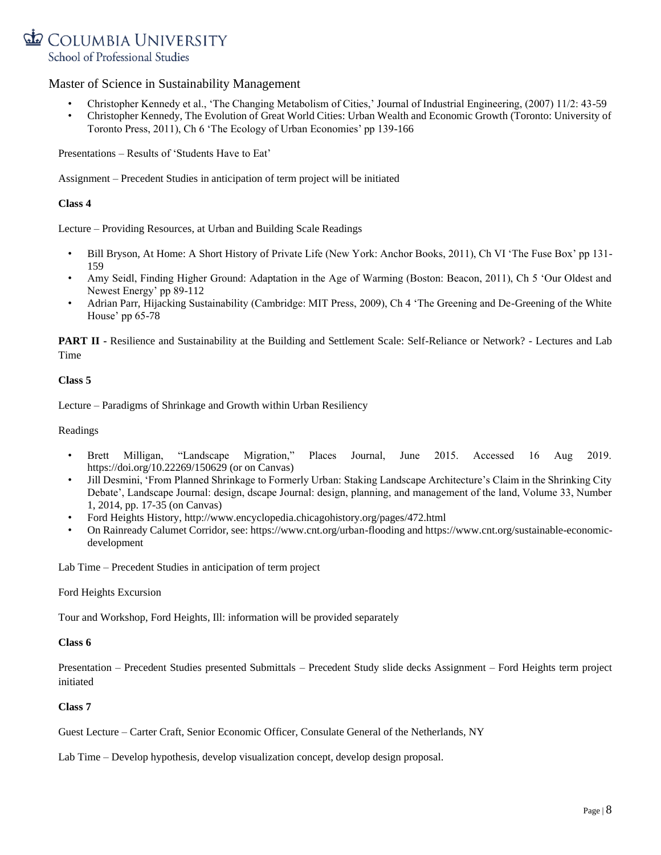# COLUMBIA UNIVERSITY School of Professional Studies

# Master of Science in Sustainability Management

- Christopher Kennedy et al., 'The Changing Metabolism of Cities,' Journal of Industrial Engineering, (2007) 11/2: 43-59
- Christopher Kennedy, The Evolution of Great World Cities: Urban Wealth and Economic Growth (Toronto: University of Toronto Press, 2011), Ch 6 'The Ecology of Urban Economies' pp 139-166

Presentations – Results of 'Students Have to Eat'

Assignment – Precedent Studies in anticipation of term project will be initiated

## **Class 4**

Lecture – Providing Resources, at Urban and Building Scale Readings

- Bill Bryson, At Home: A Short History of Private Life (New York: Anchor Books, 2011), Ch VI 'The Fuse Box' pp 131- 159
- Amy Seidl, Finding Higher Ground: Adaptation in the Age of Warming (Boston: Beacon, 2011), Ch 5 'Our Oldest and Newest Energy' pp 89-112
- Adrian Parr, Hijacking Sustainability (Cambridge: MIT Press, 2009), Ch 4 'The Greening and De-Greening of the White House' pp 65-78

**PART II -** Resilience and Sustainability at the Building and Settlement Scale: Self-Reliance or Network? - Lectures and Lab Time

## **Class 5**

Lecture – Paradigms of Shrinkage and Growth within Urban Resiliency

Readings

- Brett Milligan, "Landscape Migration," Places Journal, June 2015. Accessed 16 Aug 2019. https://doi.org/10.22269/150629 (or on Canvas)
- Jill Desmini, 'From Planned Shrinkage to Formerly Urban: Staking Landscape Architecture's Claim in the Shrinking City Debate', Landscape Journal: design, dscape Journal: design, planning, and management of the land, Volume 33, Number 1, 2014, pp. 17-35 (on Canvas)
- Ford Heights History, http://www.encyclopedia.chicagohistory.org/pages/472.html
- On Rainready Calumet Corridor, see: https://www.cnt.org/urban-flooding and [https://www.cnt.org/sustainable-economic](https://www.cnt.org/sustainable-economic-development)[development](https://www.cnt.org/sustainable-economic-development)

Lab Time – Precedent Studies in anticipation of term project

Ford Heights Excursion

Tour and Workshop, Ford Heights, Ill: information will be provided separately

#### **Class 6**

Presentation – Precedent Studies presented Submittals – Precedent Study slide decks Assignment – Ford Heights term project initiated

## **Class 7**

Guest Lecture – Carter Craft, Senior Economic Officer, Consulate General of the Netherlands, NY

Lab Time – Develop hypothesis, develop visualization concept, develop design proposal.